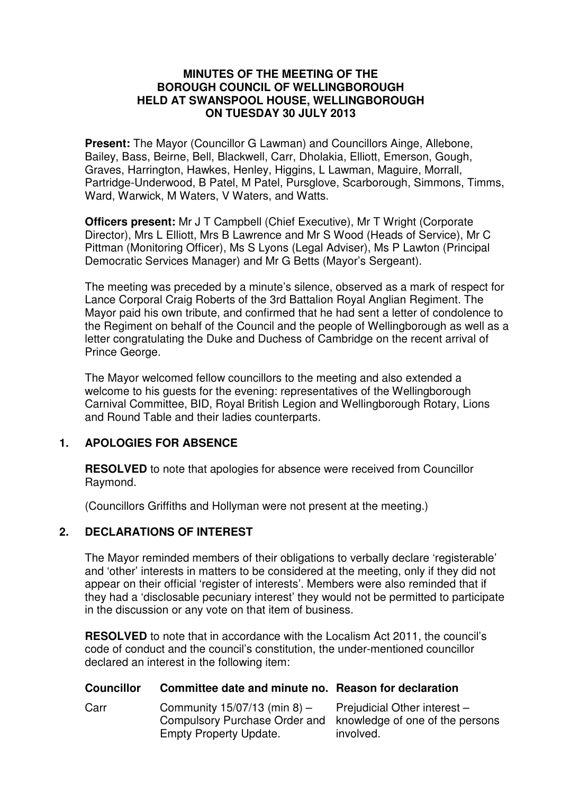#### **MINUTES OF THE MEETING OF THE BOROUGH COUNCIL OF WELLINGBOROUGH HELD AT SWANSPOOL HOUSE, WELLINGBOROUGH ON TUESDAY 30 JULY 2013**

**Present:** The Mayor (Councillor G Lawman) and Councillors Ainge, Allebone, Bailey, Bass, Beirne, Bell, Blackwell, Carr, Dholakia, Elliott, Emerson, Gough, Graves, Harrington, Hawkes, Henley, Higgins, L Lawman, Maguire, Morrall, Partridge-Underwood, B Patel, M Patel, Pursglove, Scarborough, Simmons, Timms, Ward, Warwick, M Waters, V Waters, and Watts.

**Officers present:** Mr J T Campbell (Chief Executive), Mr T Wright (Corporate Director), Mrs L Elliott, Mrs B Lawrence and Mr S Wood (Heads of Service), Mr C Pittman (Monitoring Officer), Ms S Lyons (Legal Adviser), Ms P Lawton (Principal Democratic Services Manager) and Mr G Betts (Mayor's Sergeant).

The meeting was preceded by a minute's silence, observed as a mark of respect for Lance Corporal Craig Roberts of the 3rd Battalion Royal Anglian Regiment. The Mayor paid his own tribute, and confirmed that he had sent a letter of condolence to the Regiment on behalf of the Council and the people of Wellingborough as well as a letter congratulating the Duke and Duchess of Cambridge on the recent arrival of Prince George.

The Mayor welcomed fellow councillors to the meeting and also extended a welcome to his quests for the evening: representatives of the Wellingborough Carnival Committee, BID, Royal British Legion and Wellingborough Rotary, Lions and Round Table and their ladies counterparts.

### **1. APOLOGIES FOR ABSENCE**

**RESOLVED** to note that apologies for absence were received from Councillor Raymond.

(Councillors Griffiths and Hollyman were not present at the meeting.)

### **2. DECLARATIONS OF INTEREST**

The Mayor reminded members of their obligations to verbally declare 'registerable' and 'other' interests in matters to be considered at the meeting, only if they did not appear on their official 'register of interests'. Members were also reminded that if they had a 'disclosable pecuniary interest' they would not be permitted to participate in the discussion or any vote on that item of business.

**RESOLVED** to note that in accordance with the Localism Act 2011, the council's code of conduct and the council's constitution, the under-mentioned councillor declared an interest in the following item:

#### **Councillor Committee date and minute no. Reason for declaration**

Carr Community 15/07/13 (min 8) – Compulsory Purchase Order and knowledge of one of the persons Empty Property Update. Prejudicial Other interest involved.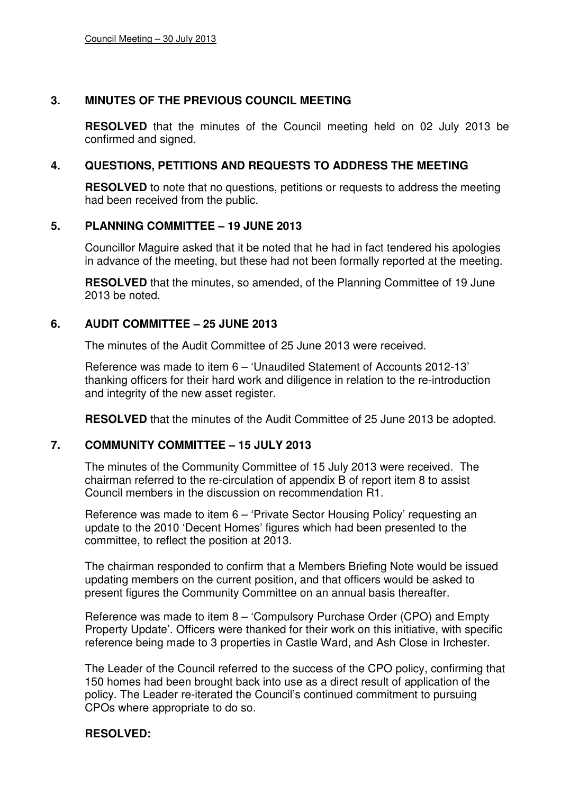### **3. MINUTES OF THE PREVIOUS COUNCIL MEETING**

**RESOLVED** that the minutes of the Council meeting held on 02 July 2013 be confirmed and signed.

### **4. QUESTIONS, PETITIONS AND REQUESTS TO ADDRESS THE MEETING**

**RESOLVED** to note that no questions, petitions or requests to address the meeting had been received from the public.

#### **5. PLANNING COMMITTEE – 19 JUNE 2013**

Councillor Maguire asked that it be noted that he had in fact tendered his apologies in advance of the meeting, but these had not been formally reported at the meeting.

**RESOLVED** that the minutes, so amended, of the Planning Committee of 19 June 2013 be noted.

#### **6. AUDIT COMMITTEE – 25 JUNE 2013**

The minutes of the Audit Committee of 25 June 2013 were received.

Reference was made to item 6 – 'Unaudited Statement of Accounts 2012-13' thanking officers for their hard work and diligence in relation to the re-introduction and integrity of the new asset register.

**RESOLVED** that the minutes of the Audit Committee of 25 June 2013 be adopted.

#### **7. COMMUNITY COMMITTEE – 15 JULY 2013**

The minutes of the Community Committee of 15 July 2013 were received. The chairman referred to the re-circulation of appendix B of report item 8 to assist Council members in the discussion on recommendation R1.

Reference was made to item 6 – 'Private Sector Housing Policy' requesting an update to the 2010 'Decent Homes' figures which had been presented to the committee, to reflect the position at 2013.

The chairman responded to confirm that a Members Briefing Note would be issued updating members on the current position, and that officers would be asked to present figures the Community Committee on an annual basis thereafter.

Reference was made to item 8 – 'Compulsory Purchase Order (CPO) and Empty Property Update'. Officers were thanked for their work on this initiative, with specific reference being made to 3 properties in Castle Ward, and Ash Close in Irchester.

The Leader of the Council referred to the success of the CPO policy, confirming that 150 homes had been brought back into use as a direct result of application of the policy. The Leader re-iterated the Council's continued commitment to pursuing CPOs where appropriate to do so.

### **RESOLVED:**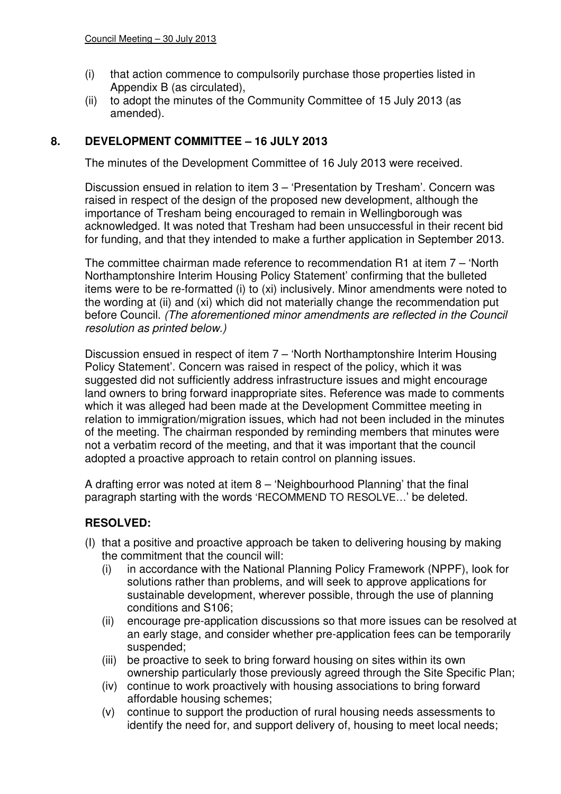- (i) that action commence to compulsorily purchase those properties listed in Appendix B (as circulated),
- (ii) to adopt the minutes of the Community Committee of 15 July 2013 (as amended).

### **8. DEVELOPMENT COMMITTEE – 16 JULY 2013**

The minutes of the Development Committee of 16 July 2013 were received.

Discussion ensued in relation to item 3 – 'Presentation by Tresham'. Concern was raised in respect of the design of the proposed new development, although the importance of Tresham being encouraged to remain in Wellingborough was acknowledged. It was noted that Tresham had been unsuccessful in their recent bid for funding, and that they intended to make a further application in September 2013.

The committee chairman made reference to recommendation R1 at item 7 – 'North Northamptonshire Interim Housing Policy Statement' confirming that the bulleted items were to be re-formatted (i) to (xi) inclusively. Minor amendments were noted to the wording at (ii) and (xi) which did not materially change the recommendation put before Council. (The aforementioned minor amendments are reflected in the Council resolution as printed below.)

Discussion ensued in respect of item 7 – 'North Northamptonshire Interim Housing Policy Statement'. Concern was raised in respect of the policy, which it was suggested did not sufficiently address infrastructure issues and might encourage land owners to bring forward inappropriate sites. Reference was made to comments which it was alleged had been made at the Development Committee meeting in relation to immigration/migration issues, which had not been included in the minutes of the meeting. The chairman responded by reminding members that minutes were not a verbatim record of the meeting, and that it was important that the council adopted a proactive approach to retain control on planning issues.

A drafting error was noted at item 8 – 'Neighbourhood Planning' that the final paragraph starting with the words 'RECOMMEND TO RESOLVE…' be deleted.

## **RESOLVED:**

- (I) that a positive and proactive approach be taken to delivering housing by making the commitment that the council will:
	- (i) in accordance with the National Planning Policy Framework (NPPF), look for solutions rather than problems, and will seek to approve applications for sustainable development, wherever possible, through the use of planning conditions and S106;
	- (ii) encourage pre-application discussions so that more issues can be resolved at an early stage, and consider whether pre-application fees can be temporarily suspended;
	- (iii) be proactive to seek to bring forward housing on sites within its own ownership particularly those previously agreed through the Site Specific Plan;
	- (iv) continue to work proactively with housing associations to bring forward affordable housing schemes;
	- (v) continue to support the production of rural housing needs assessments to identify the need for, and support delivery of, housing to meet local needs;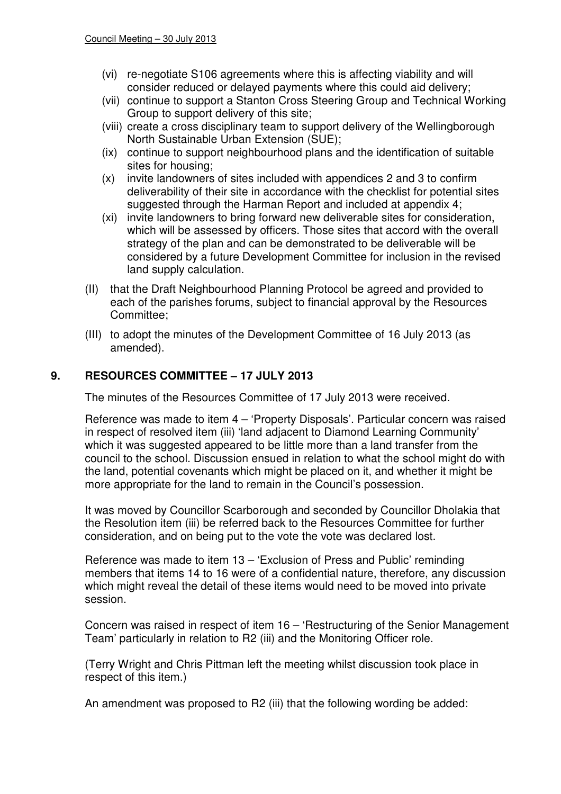- (vi) re-negotiate S106 agreements where this is affecting viability and will consider reduced or delayed payments where this could aid delivery;
- (vii) continue to support a Stanton Cross Steering Group and Technical Working Group to support delivery of this site;
- (viii) create a cross disciplinary team to support delivery of the Wellingborough North Sustainable Urban Extension (SUE);
- (ix) continue to support neighbourhood plans and the identification of suitable sites for housing;
- (x) invite landowners of sites included with appendices 2 and 3 to confirm deliverability of their site in accordance with the checklist for potential sites suggested through the Harman Report and included at appendix 4;
- (xi) invite landowners to bring forward new deliverable sites for consideration, which will be assessed by officers. Those sites that accord with the overall strategy of the plan and can be demonstrated to be deliverable will be considered by a future Development Committee for inclusion in the revised land supply calculation.
- (II) that the Draft Neighbourhood Planning Protocol be agreed and provided to each of the parishes forums, subject to financial approval by the Resources Committee;
- (III) to adopt the minutes of the Development Committee of 16 July 2013 (as amended).

# **9. RESOURCES COMMITTEE – 17 JULY 2013**

The minutes of the Resources Committee of 17 July 2013 were received.

Reference was made to item 4 – 'Property Disposals'. Particular concern was raised in respect of resolved item (iii) 'land adjacent to Diamond Learning Community' which it was suggested appeared to be little more than a land transfer from the council to the school. Discussion ensued in relation to what the school might do with the land, potential covenants which might be placed on it, and whether it might be more appropriate for the land to remain in the Council's possession.

It was moved by Councillor Scarborough and seconded by Councillor Dholakia that the Resolution item (iii) be referred back to the Resources Committee for further consideration, and on being put to the vote the vote was declared lost.

Reference was made to item 13 – 'Exclusion of Press and Public' reminding members that items 14 to 16 were of a confidential nature, therefore, any discussion which might reveal the detail of these items would need to be moved into private session.

Concern was raised in respect of item 16 – 'Restructuring of the Senior Management Team' particularly in relation to R2 (iii) and the Monitoring Officer role.

(Terry Wright and Chris Pittman left the meeting whilst discussion took place in respect of this item.)

An amendment was proposed to R2 (iii) that the following wording be added: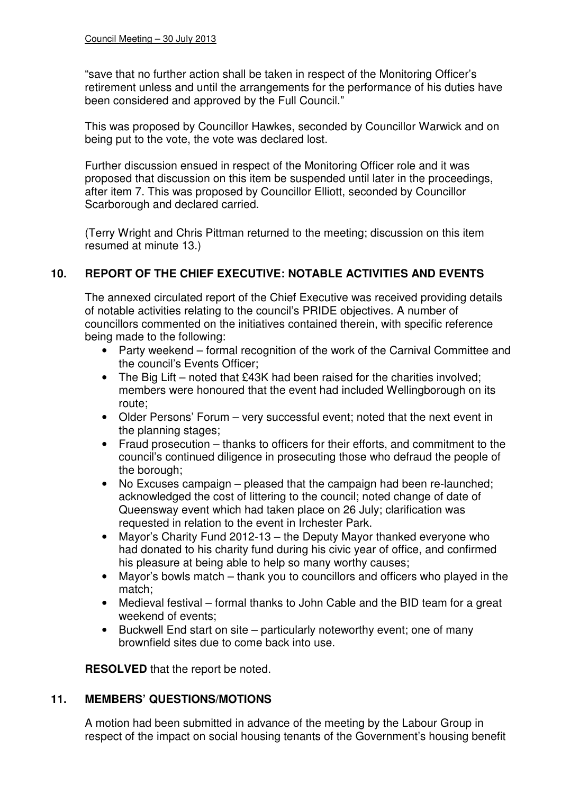"save that no further action shall be taken in respect of the Monitoring Officer's retirement unless and until the arrangements for the performance of his duties have been considered and approved by the Full Council."

This was proposed by Councillor Hawkes, seconded by Councillor Warwick and on being put to the vote, the vote was declared lost.

Further discussion ensued in respect of the Monitoring Officer role and it was proposed that discussion on this item be suspended until later in the proceedings, after item 7. This was proposed by Councillor Elliott, seconded by Councillor Scarborough and declared carried.

(Terry Wright and Chris Pittman returned to the meeting; discussion on this item resumed at minute 13.)

## **10. REPORT OF THE CHIEF EXECUTIVE: NOTABLE ACTIVITIES AND EVENTS**

The annexed circulated report of the Chief Executive was received providing details of notable activities relating to the council's PRIDE objectives. A number of councillors commented on the initiatives contained therein, with specific reference being made to the following:

- Party weekend formal recognition of the work of the Carnival Committee and the council's Events Officer;
- The Big Lift noted that £43K had been raised for the charities involved; members were honoured that the event had included Wellingborough on its route;
- Older Persons' Forum very successful event; noted that the next event in the planning stages;
- Fraud prosecution thanks to officers for their efforts, and commitment to the council's continued diligence in prosecuting those who defraud the people of the borough;
- No Excuses campaign pleased that the campaign had been re-launched; acknowledged the cost of littering to the council; noted change of date of Queensway event which had taken place on 26 July; clarification was requested in relation to the event in Irchester Park.
- Mayor's Charity Fund 2012-13 the Deputy Mayor thanked everyone who had donated to his charity fund during his civic year of office, and confirmed his pleasure at being able to help so many worthy causes;
- Mayor's bowls match thank you to councillors and officers who played in the match;
- Medieval festival formal thanks to John Cable and the BID team for a great weekend of events;
- Buckwell End start on site particularly noteworthy event; one of many brownfield sites due to come back into use.

**RESOLVED** that the report be noted.

### **11. MEMBERS' QUESTIONS/MOTIONS**

A motion had been submitted in advance of the meeting by the Labour Group in respect of the impact on social housing tenants of the Government's housing benefit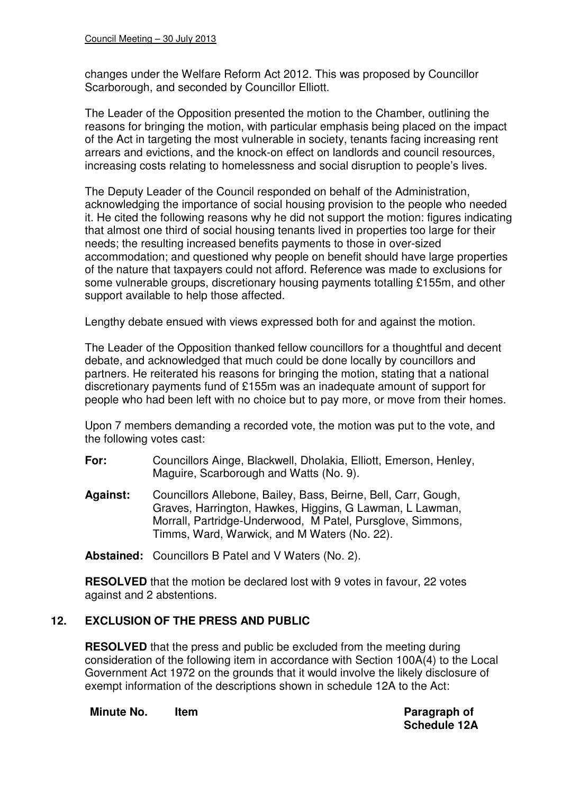changes under the Welfare Reform Act 2012. This was proposed by Councillor Scarborough, and seconded by Councillor Elliott.

The Leader of the Opposition presented the motion to the Chamber, outlining the reasons for bringing the motion, with particular emphasis being placed on the impact of the Act in targeting the most vulnerable in society, tenants facing increasing rent arrears and evictions, and the knock-on effect on landlords and council resources, increasing costs relating to homelessness and social disruption to people's lives.

The Deputy Leader of the Council responded on behalf of the Administration, acknowledging the importance of social housing provision to the people who needed it. He cited the following reasons why he did not support the motion: figures indicating that almost one third of social housing tenants lived in properties too large for their needs; the resulting increased benefits payments to those in over-sized accommodation; and questioned why people on benefit should have large properties of the nature that taxpayers could not afford. Reference was made to exclusions for some vulnerable groups, discretionary housing payments totalling £155m, and other support available to help those affected.

Lengthy debate ensued with views expressed both for and against the motion.

The Leader of the Opposition thanked fellow councillors for a thoughtful and decent debate, and acknowledged that much could be done locally by councillors and partners. He reiterated his reasons for bringing the motion, stating that a national discretionary payments fund of £155m was an inadequate amount of support for people who had been left with no choice but to pay more, or move from their homes.

Upon 7 members demanding a recorded vote, the motion was put to the vote, and the following votes cast:

- **For:** Councillors Ainge, Blackwell, Dholakia, Elliott, Emerson, Henley, Maguire, Scarborough and Watts (No. 9).
- **Against:** Councillors Allebone, Bailey, Bass, Beirne, Bell, Carr, Gough, Graves, Harrington, Hawkes, Higgins, G Lawman, L Lawman, Morrall, Partridge-Underwood, M Patel, Pursglove, Simmons, Timms, Ward, Warwick, and M Waters (No. 22).

**Abstained:** Councillors B Patel and V Waters (No. 2).

**RESOLVED** that the motion be declared lost with 9 votes in favour, 22 votes against and 2 abstentions.

## **12. EXCLUSION OF THE PRESS AND PUBLIC**

**RESOLVED** that the press and public be excluded from the meeting during consideration of the following item in accordance with Section 100A(4) to the Local Government Act 1972 on the grounds that it would involve the likely disclosure of exempt information of the descriptions shown in schedule 12A to the Act:

**Minute No.** Item **Paragraph of Paragraph of** 

**Schedule 12A**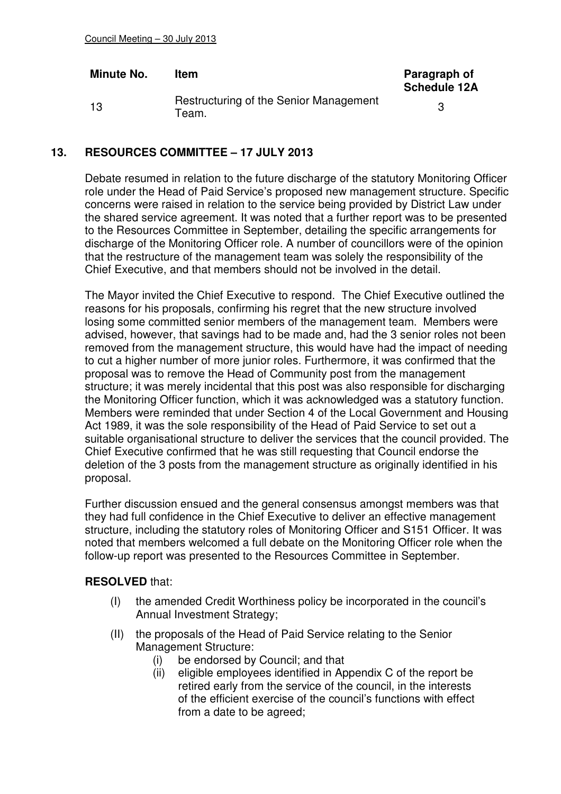| Minute No. | <b>Item</b>                                           | Paragraph of<br><b>Schedule 12A</b> |
|------------|-------------------------------------------------------|-------------------------------------|
| 13         | Restructuring of the Senior Management<br>$\tau$ eam. |                                     |

### **13. RESOURCES COMMITTEE – 17 JULY 2013**

Debate resumed in relation to the future discharge of the statutory Monitoring Officer role under the Head of Paid Service's proposed new management structure. Specific concerns were raised in relation to the service being provided by District Law under the shared service agreement. It was noted that a further report was to be presented to the Resources Committee in September, detailing the specific arrangements for discharge of the Monitoring Officer role. A number of councillors were of the opinion that the restructure of the management team was solely the responsibility of the Chief Executive, and that members should not be involved in the detail.

The Mayor invited the Chief Executive to respond. The Chief Executive outlined the reasons for his proposals, confirming his regret that the new structure involved losing some committed senior members of the management team. Members were advised, however, that savings had to be made and, had the 3 senior roles not been removed from the management structure, this would have had the impact of needing to cut a higher number of more junior roles. Furthermore, it was confirmed that the proposal was to remove the Head of Community post from the management structure; it was merely incidental that this post was also responsible for discharging the Monitoring Officer function, which it was acknowledged was a statutory function. Members were reminded that under Section 4 of the Local Government and Housing Act 1989, it was the sole responsibility of the Head of Paid Service to set out a suitable organisational structure to deliver the services that the council provided. The Chief Executive confirmed that he was still requesting that Council endorse the deletion of the 3 posts from the management structure as originally identified in his proposal.

Further discussion ensued and the general consensus amongst members was that they had full confidence in the Chief Executive to deliver an effective management structure, including the statutory roles of Monitoring Officer and S151 Officer. It was noted that members welcomed a full debate on the Monitoring Officer role when the follow-up report was presented to the Resources Committee in September.

### **RESOLVED** that:

- (I) the amended Credit Worthiness policy be incorporated in the council's Annual Investment Strategy;
- (II) the proposals of the Head of Paid Service relating to the Senior Management Structure:
	- (i) be endorsed by Council; and that
	- (ii) eligible employees identified in Appendix C of the report be retired early from the service of the council, in the interests of the efficient exercise of the council's functions with effect from a date to be agreed;